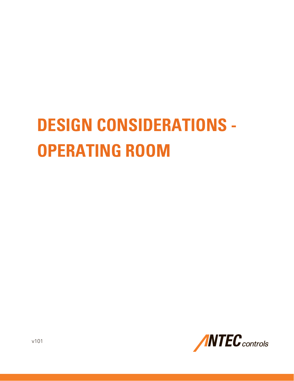# **DESIGN CONSIDERATIONS - OPERATING ROOM**

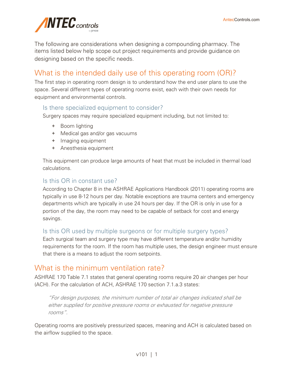

The following are considerations when designing a compounding pharmacy. The items listed below help scope out project requirements and provide guidance on designing based on the specific needs.

# What is the intended daily use of this operating room (OR)?

The first step in operating room design is to understand how the end user plans to use the space. Several different types of operating rooms exist, each with their own needs for equipment and environmental controls.

## Is there specialized equipment to consider?

Surgery spaces may require specialized equipment including, but not limited to:

- + Boom lighting
- + Medical gas and/or gas vacuums
- + Imaging equipment
- + Anesthesia equipment

This equipment can produce large amounts of heat that must be included in thermal load calculations.

## Is this OR in constant use?

According to Chapter 8 in the ASHRAE Applications Handbook (2011) operating rooms are typically in use 8-12 hours per day. Notable exceptions are trauma centers and emergency departments which are typically in use 24 hours per day. If the OR is only in use for a portion of the day, the room may need to be capable of setback for cost and energy savings.

## Is this OR used by multiple surgeons or for multiple surgery types?

Each surgical team and surgery type may have different temperature and/or humidity requirements for the room. If the room has multiple uses, the design engineer must ensure that there is a means to adjust the room setpoints.

# What is the minimum ventilation rate?

ASHRAE 170 Table 7.1 states that general operating rooms require 20 air changes per hour (ACH). For the calculation of ACH, ASHRAE 170 section 7.1.a.3 states:

"For design purposes, the minimum number of total air changes indicated shall be either supplied for positive pressure rooms or exhausted for negative pressure rooms".

Operating rooms are positively pressurized spaces, meaning and ACH is calculated based on the airflow supplied to the space.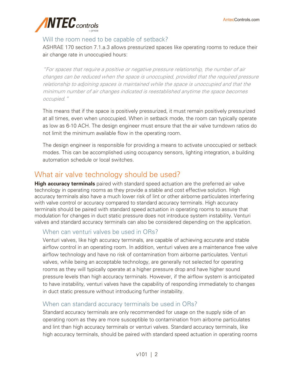

## Will the room need to be capable of setback?

ASHRAE 170 section 7.1.a.3 allows pressurized spaces like operating rooms to reduce their air change rate in unoccupied hours:

"For spaces that require a positive or negative pressure relationship, the number of air changes can be reduced when the space is unoccupied, provided that the required pressure relationship to adjoining spaces is maintained while the space is unoccupied and that the minimum number of air changes indicated is reestablished anytime the space becomes occupied."

This means that if the space is positively pressurized, it must remain positively pressurized at all times, even when unoccupied. When in setback mode, the room can typically operate as low as 6-10 ACH. The design engineer must ensure that the air valve turndown ratios do not limit the minimum available flow in the operating room.

The design engineer is responsible for providing a means to activate unoccupied or setback modes. This can be accomplished using occupancy sensors, lighting integration, a building automation schedule or local switches.

# What air valve technology should be used?

**High accuracy terminals** paired with standard speed actuation are the preferred air valve technology in operating rooms as they provide a stable and cost effective solution. High accuracy terminals also have a much lower risk of lint or other airborne particulates interfering with valve control or accuracy compared to standard accuracy terminals. High accuracy terminals should be paired with standard speed actuation in operating rooms to assure that modulation for changes in duct static pressure does not introduce system instability. Venturi valves and standard accuracy terminals can also be considered depending on the application.

## When can venturi valves be used in ORs?

Venturi valves, like high accuracy terminals, are capable of achieving accurate and stable airflow control in an operating room. In addition, venturi valves are a maintenance free valve airflow technology and have no risk of contamination from airborne particulates. Venturi valves, while being an acceptable technology, are generally not selected for operating rooms as they will typically operate at a higher pressure drop and have higher sound pressure levels than high accuracy terminals. However, if the airflow system is anticipated to have instability, venturi valves have the capability of responding immediately to changes in duct static pressure without introducing further instability.

## When can standard accuracy terminals be used in ORs?

Standard accuracy terminals are only recommended for usage on the supply side of an operating room as they are more susceptible to contamination from airborne particulates and lint than high accuracy terminals or venturi valves. Standard accuracy terminals, like high accuracy terminals, should be paired with standard speed actuation in operating rooms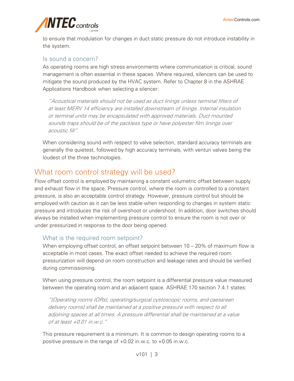

to ensure that modulation for changes in duct static pressure do not introduce instability in the system.

#### Is sound a concern?

As operating rooms are high stress environments where communication is critical, sound management is often essential in these spaces. Where required, silencers can be used to mitigate the sound produced by the HVAC system. Refer to Chapter 8 in the ASHRAE Applications Handbook when selecting a silencer:

"Acoustical materials should not be used as duct linings unless terminal filters of at least MERV 14 efficiency are installed downstream of linings. Internal insulation or terminal units may be encapsulated with approved materials. Duct mounted sounds traps should be of the packless type or have polyester film linings over acoustic fill".

When considering sound with respect to valve selection, standard accuracy terminals are generally the quietest, followed by high accuracy terminals, with venturi valves being the loudest of the three technologies.

## What room control strategy will be used?

Flow offset control is employed by maintaining a constant volumetric offset between supply and exhaust flow in the space. Pressure control, where the room is controlled to a constant pressure, is also an acceptable control strategy. However, pressure control but should be employed with caution as it can be less stable when responding to changes in system static pressure and introduces the risk of overshoot or undershoot. In addition, door switches should always be installed when implementing pressure control to ensure the room is not over or under pressurized in response to the door being opened.

#### What is the required room setpoint?

When employing offset control, an offset setpoint between 10 – 20% of maximum flow is acceptable in most cases. The exact offset needed to achieve the required room pressurization will depend on room construction and leakage rates and should be verified during commissioning.

When using pressure control, the room setpoint is a differential pressure value measured between the operating room and an adjacent space. ASHRAE 170 section 7.4.1 states:

"[Operating rooms (ORs), operating/surgical cystoscopic rooms, and caesarean delivery rooms] shall be maintained at a positive pressure with respect to all adjoining spaces at all times. A pressure differential shall be maintained at a value of at least  $+0.01$  in.w.c."

This pressure requirement is a minimum. It is common to design operating rooms to a positive pressure in the range of +0.02 in.w.c. to +0.05 in.w.c.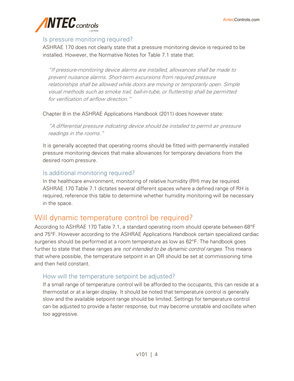

#### Is pressure monitoring required?

ASHRAE 170 does not clearly state that a pressure monitoring device is required to be installed. However, the Normative Notes for Table 7.1 state that:

"If pressure-monitoring device alarms are installed, allowances shall be made to prevent nuisance alarms. Short-term excursions from required pressure relationships shall be allowed while doors are moving or temporarily open. Simple visual methods such as smoke trail, ball-in-tube, or flutterstrip shall be permitted for verification of airflow direction."

Chapter 8 in the ASHRAE Applications Handbook (2011) does however state:

"A differential pressure indicating device should be installed to permit air pressure readings in the rooms."

It is generally accepted that operating rooms should be fitted with permanently installed pressure monitoring devices that make allowances for temporary deviations from the desired room pressure.

#### Is additional monitoring required?

In the healthcare environment, monitoring of relative humidity (RH) may be required. ASHRAE 170 Table 7.1 dictates several different spaces where a defined range of RH is required, reference this table to determine whether humidity monitoring will be necessary in the space.

# Will dynamic temperature control be required?

According to ASHRAE 170 Table 7.1, a standard operating room should operate between 68°F and 75°F. However according to the ASHRAE Applications Handbook certain specialized cardiac surgeries should be performed at a room temperature as low as 62°F. The handbook goes further to state that these ranges are *not intended to be dynamic control ranges*. This means that where possible, the temperature setpoint in an OR should be set at commissioning time and then held constant.

#### How will the temperature setpoint be adjusted?

If a small range of temperature control will be afforded to the occupants, this can reside at a thermostat or at a larger display. It should be noted that temperature control is generally slow and the available setpoint range should be limited. Settings for temperature control can be adjusted to provide a faster response, but may become unstable and oscillate when too aggressive.